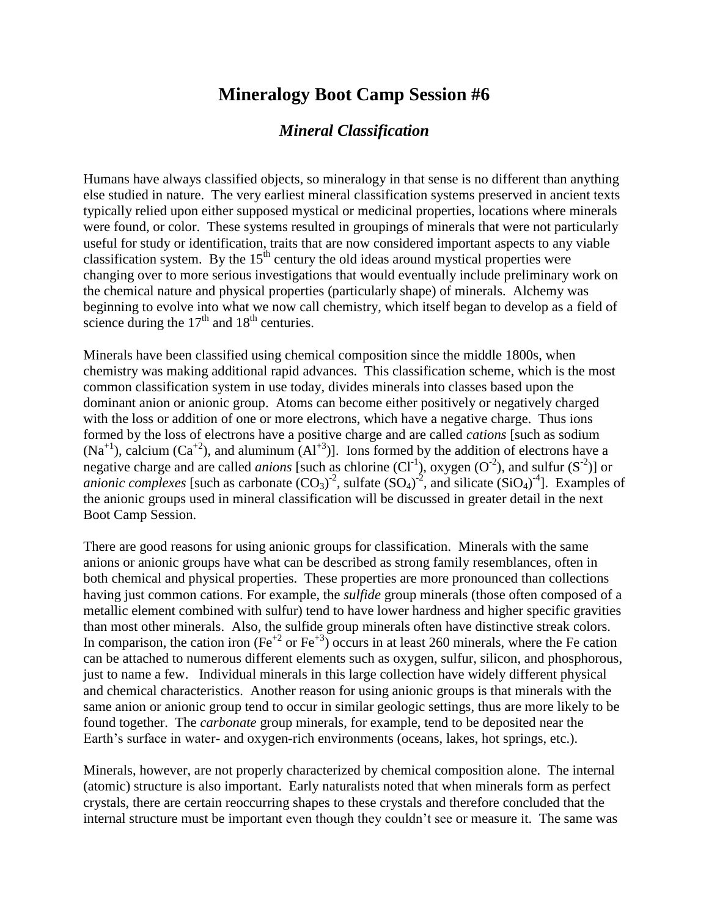## **Mineralogy Boot Camp Session #6**

## *Mineral Classification*

Humans have always classified objects, so mineralogy in that sense is no different than anything else studied in nature. The very earliest mineral classification systems preserved in ancient texts typically relied upon either supposed mystical or medicinal properties, locations where minerals were found, or color. These systems resulted in groupings of minerals that were not particularly useful for study or identification, traits that are now considered important aspects to any viable classification system. By the  $15<sup>th</sup>$  century the old ideas around mystical properties were changing over to more serious investigations that would eventually include preliminary work on the chemical nature and physical properties (particularly shape) of minerals. Alchemy was beginning to evolve into what we now call chemistry, which itself began to develop as a field of science during the  $17<sup>th</sup>$  and  $18<sup>th</sup>$  centuries.

Minerals have been classified using chemical composition since the middle 1800s, when chemistry was making additional rapid advances. This classification scheme, which is the most common classification system in use today, divides minerals into classes based upon the dominant anion or anionic group. Atoms can become either positively or negatively charged with the loss or addition of one or more electrons, which have a negative charge. Thus ions formed by the loss of electrons have a positive charge and are called *cations* [such as sodium  $(Na<sup>+1</sup>)$ , calcium  $(Ca<sup>+2</sup>)$ , and aluminum  $(A<sup>+3</sup>)$ . Ions formed by the addition of electrons have a negative charge and are called *anions* [such as chlorine  $(Cl^{-1})$ , oxygen  $(O^{-2})$ , and sulfur  $(S^{-2})$ ] or *anionic complexes* [such as carbonate  $(CO_3)^2$ , sulfate  $(SO_4)^2$ , and silicate  $(SiO_4)^{-4}$ ]. Examples of the anionic groups used in mineral classification will be discussed in greater detail in the next Boot Camp Session.

There are good reasons for using anionic groups for classification. Minerals with the same anions or anionic groups have what can be described as strong family resemblances, often in both chemical and physical properties. These properties are more pronounced than collections having just common cations. For example, the *sulfide* group minerals (those often composed of a metallic element combined with sulfur) tend to have lower hardness and higher specific gravities than most other minerals. Also, the sulfide group minerals often have distinctive streak colors. In comparison, the cation iron (Fe<sup>+2</sup> or Fe<sup>+3</sup>) occurs in at least 260 minerals, where the Fe cation can be attached to numerous different elements such as oxygen, sulfur, silicon, and phosphorous, just to name a few. Individual minerals in this large collection have widely different physical and chemical characteristics. Another reason for using anionic groups is that minerals with the same anion or anionic group tend to occur in similar geologic settings, thus are more likely to be found together. The *carbonate* group minerals, for example, tend to be deposited near the Earth's surface in water- and oxygen-rich environments (oceans, lakes, hot springs, etc.).

Minerals, however, are not properly characterized by chemical composition alone. The internal (atomic) structure is also important. Early naturalists noted that when minerals form as perfect crystals, there are certain reoccurring shapes to these crystals and therefore concluded that the internal structure must be important even though they couldn't see or measure it. The same was